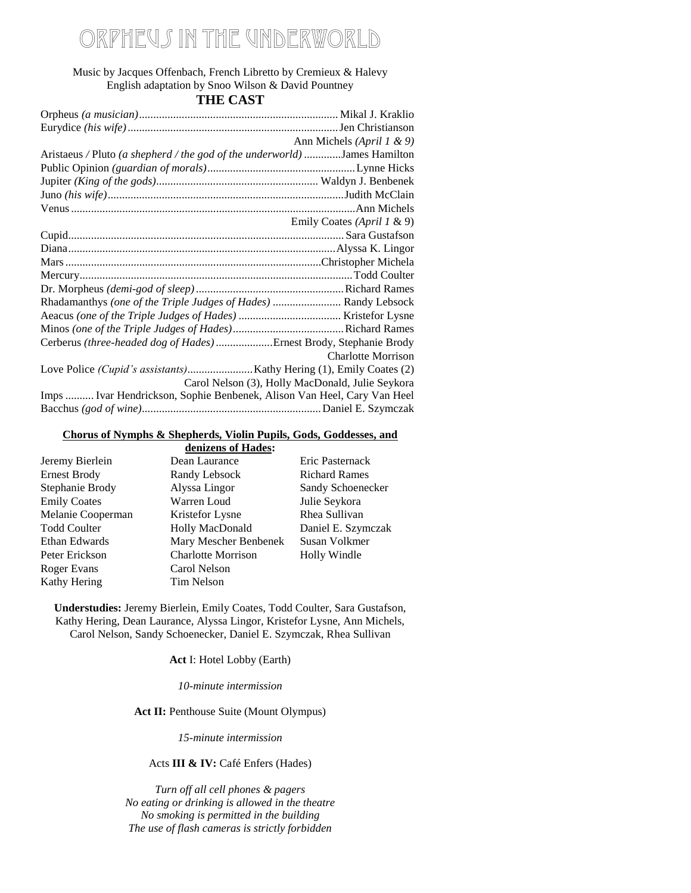# 'heu*s* in the underworld

Music by Jacques Offenbach, French Libretto by Cremieux & Halevy English adaptation by Snoo Wilson & David Pountney **THE CAST**

|                                                                           | Ann Michels (April 1 & 9)                        |
|---------------------------------------------------------------------------|--------------------------------------------------|
| Aristaeus / Pluto (a shepherd / the god of the underworld) James Hamilton |                                                  |
|                                                                           |                                                  |
|                                                                           |                                                  |
|                                                                           |                                                  |
|                                                                           |                                                  |
|                                                                           | Emily Coates (April 1 & 9)                       |
|                                                                           |                                                  |
|                                                                           |                                                  |
|                                                                           |                                                  |
|                                                                           |                                                  |
|                                                                           |                                                  |
| Rhadamanthys (one of the Triple Judges of Hades)  Randy Lebsock           |                                                  |
|                                                                           |                                                  |
|                                                                           |                                                  |
| Cerberus (three-headed dog of Hades) Ernest Brody, Stephanie Brody        |                                                  |
|                                                                           | <b>Charlotte Morrison</b>                        |
|                                                                           |                                                  |
|                                                                           | Carol Nelson (3), Holly MacDonald, Julie Seykora |
| Imps  Ivar Hendrickson, Sophie Benbenek, Alison Van Heel, Cary Van Heel   |                                                  |
|                                                                           |                                                  |

#### **Chorus of Nymphs & Shepherds, Violin Pupils, Gods, Goddesses, and**

|                     | denizens of Hades:        |                      |
|---------------------|---------------------------|----------------------|
| Jeremy Bierlein     | Dean Laurance             | Eric Pasternack      |
| <b>Ernest Brody</b> | Randy Lebsock             | <b>Richard Rames</b> |
| Stephanie Brody     | Alyssa Lingor             | Sandy Schoenecker    |
| <b>Emily Coates</b> | Warren Loud               | Julie Seykora        |
| Melanie Cooperman   | Kristefor Lysne           | Rhea Sullivan        |
| <b>Todd Coulter</b> | <b>Holly MacDonald</b>    | Daniel E. Szymczak   |
| Ethan Edwards       | Mary Mescher Benbenek     | Susan Volkmer        |
| Peter Erickson      | <b>Charlotte Morrison</b> | Holly Windle         |
| Roger Evans         | Carol Nelson              |                      |
| Kathy Hering        | Tim Nelson                |                      |

**Understudies:** Jeremy Bierlein, Emily Coates, Todd Coulter, Sara Gustafson, Kathy Hering, Dean Laurance, Alyssa Lingor, Kristefor Lysne, Ann Michels, Carol Nelson, Sandy Schoenecker, Daniel E. Szymczak, Rhea Sullivan

**Act** I: Hotel Lobby (Earth)

*10-minute intermission*

#### Act II: Penthouse Suite (Mount Olympus)

*15-minute intermission*

Acts **III & IV:** Café Enfers (Hades)

*Turn off all cell phones & pagers No eating or drinking is allowed in the theatre No smoking is permitted in the building The use of flash cameras is strictly forbidden*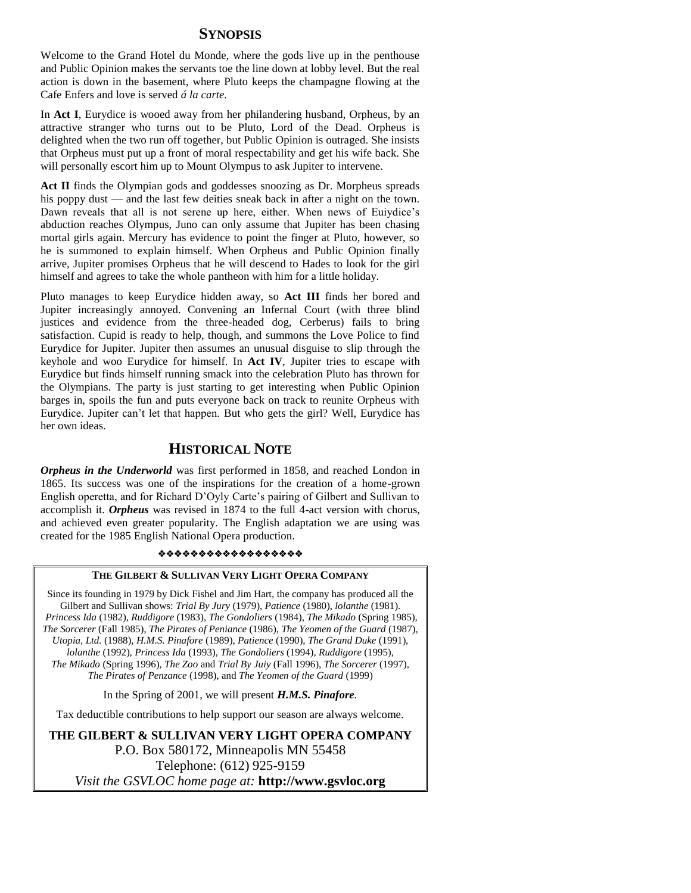## **SYNOPSIS**

Welcome to the Grand Hotel du Monde, where the gods live up in the penthouse and Public Opinion makes the servants toe the line down at lobby level. But the real action is down in the basement, where Pluto keeps the champagne flowing at the Cafe Enfers and love is served *á la carte.* 

In **Act I**, Eurydice is wooed away from her philandering husband, Orpheus, by an attractive stranger who turns out to be Pluto, Lord of the Dead. Orpheus is delighted when the two run off together, but Public Opinion is outraged. She insists that Orpheus must put up a front of moral respectability and get his wife back. She will personally escort him up to Mount Olympus to ask Jupiter to intervene.

Act II finds the Olympian gods and goddesses snoozing as Dr. Morpheus spreads his poppy dust — and the last few deities sneak back in after a night on the town. Dawn reveals that all is not serene up here, either. When news of Euiydice's abduction reaches Olympus, Juno can only assume that Jupiter has been chasing mortal girls again. Mercury has evidence to point the finger at Pluto, however, so he is summoned to explain himself. When Orpheus and Public Opinion finally arrive, Jupiter promises Orpheus that he will descend to Hades to look for the girl himself and agrees to take the whole pantheon with him for a little holiday.

Pluto manages to keep Eurydice hidden away, so **Act III** finds her bored and Jupiter increasingly annoyed. Convening an Infernal Court (with three blind justices and evidence from the three-headed dog, Cerberus) fails to bring satisfaction. Cupid is ready to help, though, and summons the Love Police to find Eurydice for Jupiter. Jupiter then assumes an unusual disguise to slip through the keyhole and woo Eurydice for himself. In **Act IV**, Jupiter tries to escape with Eurydice but finds himself running smack into the celebration Pluto has thrown for the Olympians. The party is just starting to get interesting when Public Opinion barges in, spoils the fun and puts everyone back on track to reunite Orpheus with Eurydice. Jupiter can't let that happen. But who gets the girl? Well, Eurydice has her own ideas.

## **HISTORICAL NOTE**

*Orpheus in the Underworld* was first performed in 1858, and reached London in 1865. Its success was one of the inspirations for the creation of a home-grown English operetta, and for Richard D'Oyly Carte's pairing of Gilbert and Sullivan to accomplish it. *Orpheus* was revised in 1874 to the full 4-act version with chorus, and achieved even greater popularity. The English adaptation we are using was created for the 1985 English National Opera production.

#### \*\*\*\*\*\*\*\*\*\*\*\*\*\*\*\*\*\*

#### **THE GILBERT & SULLIVAN VERY LIGHT OPERA COMPANY**

Since its founding in 1979 by Dick Fishel and Jim Hart, the company has produced all the Gilbert and Sullivan shows: *Trial By Jury* (1979), *Patience* (1980), *lolanthe* (1981). *Princess Ida* (1982), *Ruddigore* (1983), *The Gondoliers* (1984), *The Mikado* (Spring 1985), *The Sorcerer* (Fall 1985), *The Pirates of Peniance* (1986), *The Yeomen of the Guard* (1987), *Utopia, Ltd.* (1988), *H.M.S. Pinafore* (1989), *Patience* (1990), *The Grand Duke* (1991), *lolanthe* (1992), *Princess Ida* (1993), *The Gondoliers* (1994), *Ruddigore* (1995), *The Mikado* (Spring 1996), *The Zoo* and *Trial By Juiy* (Fall 1996), *The Sorcerer* (1997), *The Pirates of Penzance* (1998), and *The Yeomen of the Guard* (1999)

In the Spring of 2001, we will present *H.M.S. Pinafore.*

Tax deductible contributions to help support our season are always welcome.

**THE GILBERT & SULLIVAN VERY LIGHT OPERA COMPANY** P.O. Box 580172, Minneapolis MN 55458 Telephone: (612) 925-9159 *Visit the GSVLOC home page at:* **http://www.gsvloc.org**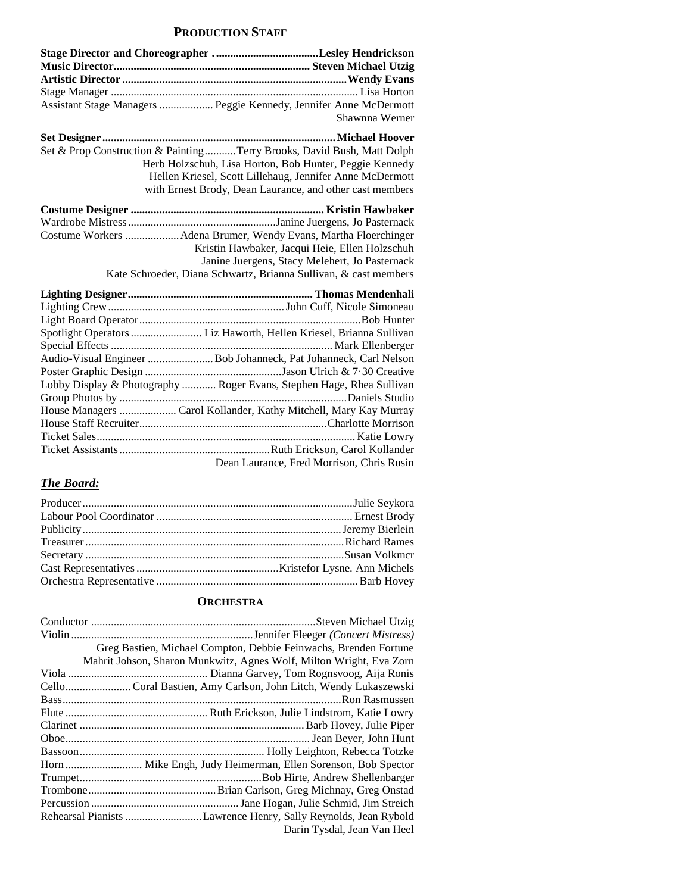## **PRODUCTION STAFF**

| Assistant Stage Managers  Peggie Kennedy, Jennifer Anne McDermott      |
|------------------------------------------------------------------------|
| Shawnna Werner                                                         |
|                                                                        |
| Set & Prop Construction & PaintingTerry Brooks, David Bush, Matt Dolph |
| Herb Holzschuh, Lisa Horton, Bob Hunter, Peggie Kennedy                |
| Hellen Kriesel, Scott Lillehaug, Jennifer Anne McDermott               |
| with Ernest Brody, Dean Laurance, and other cast members               |
|                                                                        |
|                                                                        |
| Costume Workers Adena Brumer, Wendy Evans, Martha Floerchinger         |
| Kristin Hawbaker, Jacqui Heie, Ellen Holzschuh                         |
| Janine Juergens, Stacy Melehert, Jo Pasternack                         |
| Kate Schroeder, Diana Schwartz, Brianna Sullivan, & cast members       |
|                                                                        |
|                                                                        |
|                                                                        |
| Spotlight Operators  Liz Haworth, Hellen Kriesel, Brianna Sullivan     |
|                                                                        |
| Audio-Visual Engineer  Bob Johanneck, Pat Johanneck, Carl Nelson       |
|                                                                        |
| Lobby Display & Photography  Roger Evans, Stephen Hage, Rhea Sullivan  |
|                                                                        |
| House Managers  Carol Kollander, Kathy Mitchell, Mary Kay Murray       |
|                                                                        |
|                                                                        |
|                                                                        |
| Dean Laurance, Fred Morrison, Chris Rusin                              |

## *The Board:*

## **ORCHESTRA**

| Greg Bastien, Michael Compton, Debbie Feinwachs, Brenden Fortune    |
|---------------------------------------------------------------------|
| Mahrit Johson, Sharon Munkwitz, Agnes Wolf, Milton Wright, Eva Zorn |
|                                                                     |
| Cello Coral Bastien, Amy Carlson, John Litch, Wendy Lukaszewski     |
|                                                                     |
|                                                                     |
|                                                                     |
|                                                                     |
|                                                                     |
| Horn  Mike Engh, Judy Heimerman, Ellen Sorenson, Bob Spector        |
|                                                                     |
|                                                                     |
|                                                                     |
|                                                                     |
| Darin Tysdal, Jean Van Heel                                         |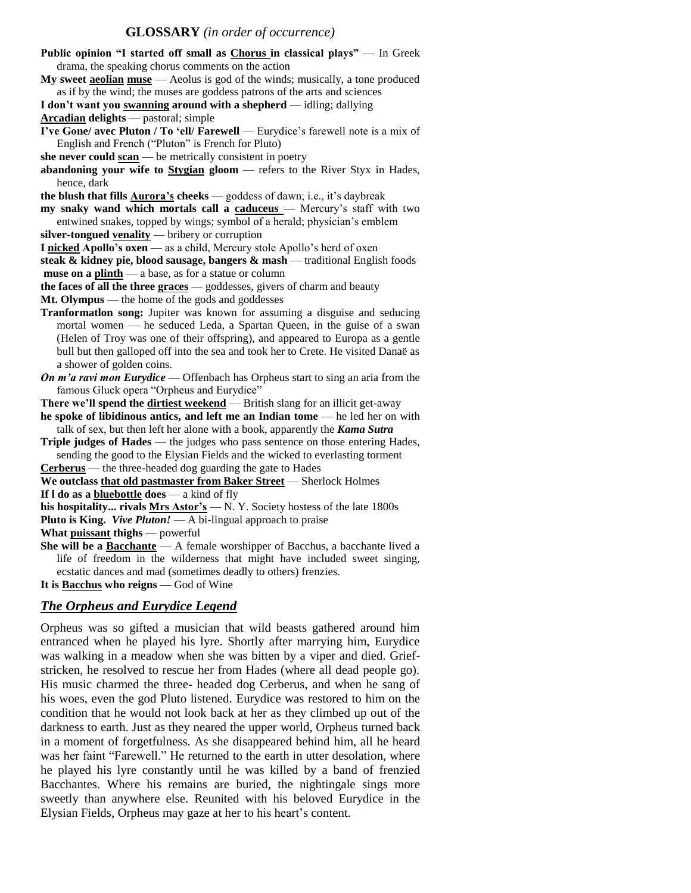#### **GLOSSARY** *(in order of occurrence)*

| Public opinion "I started off small as Chorus in classical plays" — In Greek                |
|---------------------------------------------------------------------------------------------|
| drama, the speaking chorus comments on the action                                           |
| My sweet <b>a solian muse</b> $\sim$ Aeolus is god of the winds; musically, a tone produced |
| as if by the wind; the muses are goddess patrons of the arts and sciences                   |
| I don't want you swanning around with a shepherd - idling; dallying                         |
| <b>Arcadian delights</b> — pastoral; simple                                                 |
| I've Gone/ avec Pluton / To 'ell/ Farewell — Eurydice's farewell note is a mix of           |
| English and French ("Pluton" is French for Pluto)                                           |
| she never could $\frac{scan}{mean}$ be metrically consistent in poetry                      |
| abandoning your wife to $Stygian$ gloom $-$ refers to the River Styx in Hades,              |
| hence, dark                                                                                 |
| the blush that fills <b>Aurora's</b> cheeks - goddess of dawn; i.e., it's daybreak          |
| my snaky wand which mortals call a caduceus - Mercury's staff with two                      |
| entwined snakes, topped by wings; symbol of a herald; physician's emblem                    |
| silver-tongued venality $-$ bribery or corruption                                           |
| I nicked Apollo's oxen - as a child, Mercury stole Apollo's herd of oxen                    |
|                                                                                             |
| steak & kidney pie, blood sausage, bangers & mash - traditional English foods               |
| muse on a plinth - a base, as for a statue or column                                        |
| the faces of all the three graces - goddesses, givers of charm and beauty                   |
| Mt. Olympus — the home of the gods and goddesses                                            |
| Tranformation song: Jupiter was known for assuming a disguise and seducing                  |
| mortal women — he seduced Leda, a Spartan Queen, in the guise of a swan                     |
| (Helen of Troy was one of their offspring), and appeared to Europa as a gentle              |
| bull but then galloped off into the sea and took her to Crete. He visited Danaë as          |
| a shower of golden coins.                                                                   |
| On m'a ravi mon Eurydice - Offenbach has Orpheus start to sing an aria from the             |
| famous Gluck opera "Orpheus and Eurydice"                                                   |
| There we'll spend the dirtiest weekend - British slang for an illicit get-away              |
| he spoke of libidinous antics, and left me an Indian tome - he led her on with              |
| talk of sex, but then left her alone with a book, apparently the Kama Sutra                 |
| Triple judges of Hades — the judges who pass sentence on those entering Hades,              |
| sending the good to the Elysian Fields and the wicked to everlasting torment                |
| <b>Cerberus</b> — the three-headed dog guarding the gate to Hades                           |
| We outclass that old pastmaster from Baker Street - Sherlock Holmes                         |
| If $l$ do as a bluebottle does $-$ a kind of fly                                            |
| his hospitality rivals $Mrs$ Astor's $- N$ . Y. Society hostess of the late 1800s           |
| <b>Pluto is King.</b> Vive Pluton! $- A$ bi-lingual approach to praise                      |
| What puissant thighs — powerful                                                             |
| She will be a <b>Bacchante</b> - A female worshipper of Bacchus, a bacchante lived a        |
| life of freedom in the wilderness that might have included sweet singing,                   |
| ecstatic dances and mad (sometimes deadly to others) frenzies.                              |
| It is Bacchus who reigns — God of Wine                                                      |
|                                                                                             |

### *The Orpheus and Eurydice Legend*

Orpheus was so gifted a musician that wild beasts gathered around him entranced when he played his lyre. Shortly after marrying him, Eurydice was walking in a meadow when she was bitten by a viper and died. Griefstricken, he resolved to rescue her from Hades (where all dead people go). His music charmed the three- headed dog Cerberus, and when he sang of his woes, even the god Pluto listened. Eurydice was restored to him on the condition that he would not look back at her as they climbed up out of the darkness to earth. Just as they neared the upper world, Orpheus turned back in a moment of forgetfulness. As she disappeared behind him, all he heard was her faint "Farewell." He returned to the earth in utter desolation, where he played his lyre constantly until he was killed by a band of frenzied Bacchantes. Where his remains are buried, the nightingale sings more sweetly than anywhere else. Reunited with his beloved Eurydice in the Elysian Fields, Orpheus may gaze at her to his heart's content.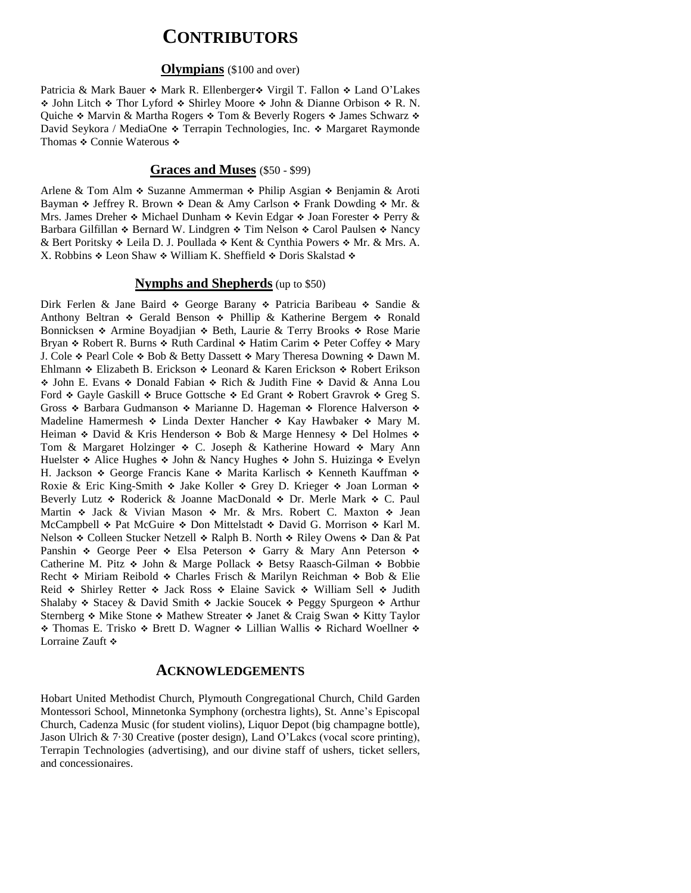## **CONTRIBUTORS**

#### **Olympians** (\$100 and over)

Patricia & Mark Bauer  $\triangle$  Mark R. Ellenberger  $\triangle$  Virgil T. Fallon  $\triangle$  Land O'Lakes ◆ John Litch ◆ Thor Lyford ◆ Shirley Moore ◆ John & Dianne Orbison ◆ R. N. Quiche  $\div$  Marvin & Martha Rogers  $\div$  Tom & Beverly Rogers  $\div$  James Schwarz  $\div$ David Seykora / MediaOne  $\triangleleft$  Terrapin Technologies, Inc.  $\triangleleft$  Margaret Raymonde Thomas ❖ Connie Waterous ❖

## **Graces and Muses** (\$50 - \$99)

Arlene & Tom Alm  $\div$  Suzanne Ammerman  $\div$  Philip Asgian  $\div$  Benjamin & Aroti Bayman  $\triangle$  Jeffrey R. Brown  $\triangle$  Dean & Amy Carlson  $\triangle$  Frank Dowding  $\triangle$  Mr. & Mrs. James Dreher  $\triangle$  Michael Dunham  $\triangle$  Kevin Edgar  $\triangle$  Joan Forester  $\triangle$  Perry  $\&$ Barbara Gilfillan  $\cdot$  Bernard W. Lindgren  $\cdot$  Tim Nelson  $\cdot$  Carol Paulsen  $\cdot$  Nancy & Bert Poritsky  $\triangle$  Leila D. J. Poullada  $\triangle$  Kent & Cynthia Powers  $\triangle$  Mr. & Mrs. A. X. Robbins  $\triangle$  Leon Shaw  $\triangle$  William K. Sheffield  $\triangle$  Doris Skalstad  $\triangle$ 

#### **Nymphs and Shepherds** (up to \$50)

Dirk Ferlen & Jane Baird  $\ast$  George Barany  $\ast$  Patricia Baribeau  $\ast$  Sandie & Anthony Beltran  $\ast$  Gerald Benson  $\ast$  Phillip & Katherine Bergem  $\ast$  Ronald Bonnicksen  $\div$  Armine Boyadjian  $\div$  Beth, Laurie & Terry Brooks  $\div$  Rose Marie Bryan  $\div$  Robert R. Burns  $\div$  Ruth Cardinal  $\div$  Hatim Carim  $\div$  Peter Coffey  $\div$  Mary J. Cole  $\div$  Pearl Cole  $\div$  Bob & Betty Dassett  $\div$  Mary Theresa Downing  $\div$  Dawn M. Ehlmann ❖ Elizabeth B. Erickson ❖ Leonard & Karen Erickson ❖ Robert Erikson • John E. Evans • Donald Fabian • Rich & Judith Fine • David & Anna Lou Ford  $\div$  Gayle Gaskill  $\div$  Bruce Gottsche  $\div$  Ed Grant  $\div$  Robert Gravrok  $\div$  Greg S. Gross  $\triangle$  Barbara Gudmanson  $\triangle$  Marianne D. Hageman  $\triangle$  Florence Halverson  $\triangle$ Madeline Hamermesh  $\div$  Linda Dexter Hancher  $\div$  Kay Hawbaker  $\div$  Mary M. Heiman  $\triangle$  David & Kris Henderson  $\triangle$  Bob & Marge Hennesy  $\triangle$  Del Holmes  $\triangle$ Tom & Margaret Holzinger  $\div$  C. Joseph & Katherine Howard  $\div$  Mary Ann Huelster  $\triangle$  Alice Hughes  $\triangle$  John & Nancy Hughes  $\triangle$  John S. Huizinga  $\triangle$  Evelyn H. Jackson  $\&$  George Francis Kane  $\&$  Marita Karlisch  $\&$  Kenneth Kauffman  $\&$ Roxie & Eric King-Smith  $\cdot$  Jake Koller  $\cdot$  Grey D. Krieger  $\cdot$  Joan Lorman  $\cdot$ Beverly Lutz  $\triangle$  Roderick & Joanne MacDonald  $\triangle$  Dr. Merle Mark  $\triangle$  C. Paul Martin  $\div$  Jack & Vivian Mason  $\div$  Mr. & Mrs. Robert C. Maxton  $\div$  Jean McCampbell  $\div$  Pat McGuire  $\div$  Don Mittelstadt  $\div$  David G. Morrison  $\div$  Karl M. Nelson  $\triangle$  Colleen Stucker Netzell  $\triangle$  Ralph B. North  $\triangle$  Riley Owens  $\triangle$  Dan & Pat Panshin  $\ast$  George Peer  $\ast$  Elsa Peterson  $\ast$  Garry & Mary Ann Peterson  $\ast$ Catherine M. Pitz  $\div$  John & Marge Pollack  $\div$  Betsy Raasch-Gilman  $\div$  Bobbie Recht  $\div$  Miriam Reibold  $\div$  Charles Frisch & Marilyn Reichman  $\div$  Bob & Elie Reid  $\div$  Shirley Retter  $\div$  Jack Ross  $\div$  Elaine Savick  $\div$  William Sell  $\div$  Judith Shalaby  $\ast$  Stacey & David Smith  $\ast$  Jackie Soucek  $\ast$  Peggy Spurgeon  $\ast$  Arthur Sternberg  $\div$  Mike Stone  $\div$  Mathew Streater  $\div$  Janet & Craig Swan  $\div$  Kitty Taylor \* Thomas E. Trisko \* Brett D. Wagner \* Lillian Wallis \* Richard Woellner \* Lorraine Zauft  $\cdot$ 

#### **ACKNOWLEDGEMENTS**

Hobart United Methodist Church, Plymouth Congregational Church, Child Garden Montessori School, Minnetonka Symphony (orchestra lights), St. Anne's Episcopal Church, Cadenza Music (for student violins), Liquor Depot (big champagne bottle), Jason Ulrich & 7·30 Creative (poster design), Land O'Lakcs (vocal score printing), Terrapin Technologies (advertising), and our divine staff of ushers, ticket sellers, and concessionaires.